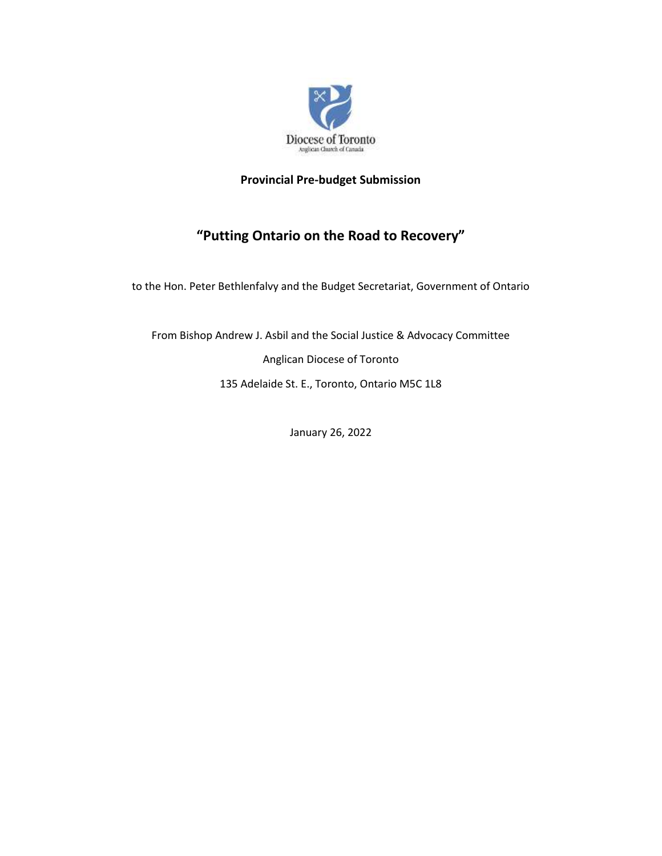

# **Provincial Pre-budget Submission**

# **"Putting Ontario on the Road to Recovery"**

to the Hon. Peter Bethlenfalvy and the Budget Secretariat, Government of Ontario

From Bishop Andrew J. Asbil and the Social Justice & Advocacy Committee Anglican Diocese of Toronto 135 Adelaide St. E., Toronto, Ontario M5C 1L8

January 26, 2022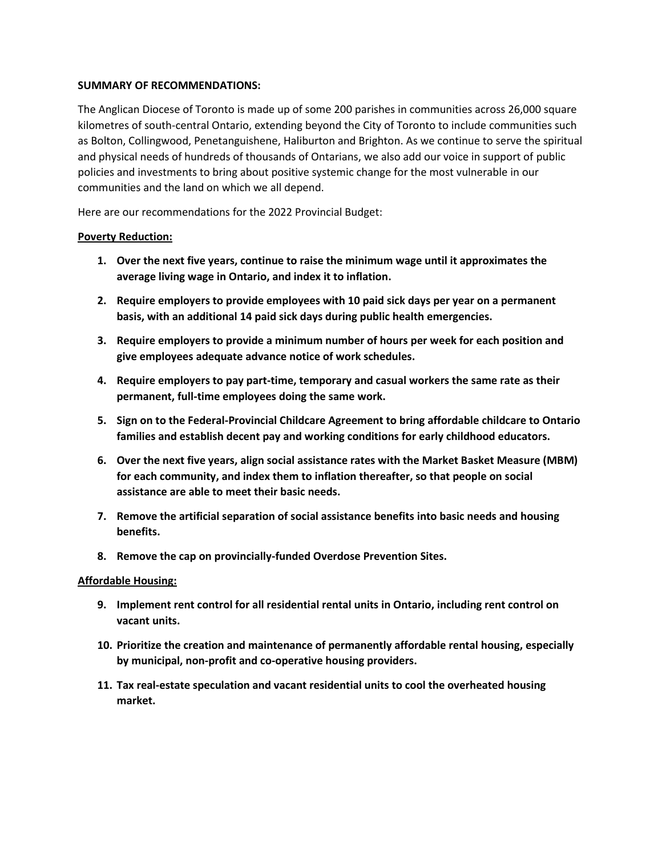#### **SUMMARY OF RECOMMENDATIONS:**

The Anglican Diocese of Toronto is made up of some 200 parishes in communities across 26,000 square kilometres of south-central Ontario, extending beyond the City of Toronto to include communities such as Bolton, Collingwood, Penetanguishene, Haliburton and Brighton. As we continue to serve the spiritual and physical needs of hundreds of thousands of Ontarians, we also add our voice in support of public policies and investments to bring about positive systemic change for the most vulnerable in our communities and the land on which we all depend.

Here are our recommendations for the 2022 Provincial Budget:

## **Poverty Reduction:**

- **1. Over the next five years, continue to raise the minimum wage until it approximates the average living wage in Ontario, and index it to inflation.**
- **2. Require employers to provide employees with 10 paid sick days per year on a permanent basis, with an additional 14 paid sick days during public health emergencies.**
- **3. Require employers to provide a minimum number of hours per week for each position and give employees adequate advance notice of work schedules.**
- **4. Require employers to pay part-time, temporary and casual workers the same rate as their permanent, full-time employees doing the same work.**
- **5. Sign on to the Federal-Provincial Childcare Agreement to bring affordable childcare to Ontario families and establish decent pay and working conditions for early childhood educators.**
- **6. Over the next five years, align social assistance rates with the Market Basket Measure (MBM) for each community, and index them to inflation thereafter, so that people on social assistance are able to meet their basic needs.**
- **7. Remove the artificial separation of social assistance benefits into basic needs and housing benefits.**
- **8. Remove the cap on provincially-funded Overdose Prevention Sites.**

## **Affordable Housing:**

- **9. Implement rent control for all residential rental units in Ontario, including rent control on vacant units.**
- **10. Prioritize the creation and maintenance of permanently affordable rental housing, especially by municipal, non-profit and co-operative housing providers.**
- **11. Tax real-estate speculation and vacant residential units to cool the overheated housing market.**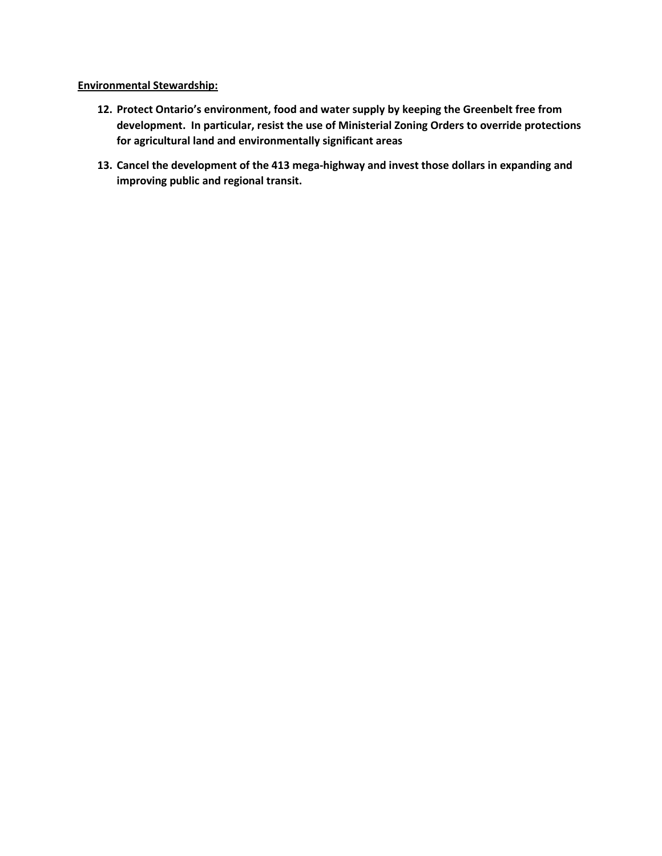#### **Environmental Stewardship:**

- **12. Protect Ontario's environment, food and water supply by keeping the Greenbelt free from development. In particular, resist the use of Ministerial Zoning Orders to override protections for agricultural land and environmentally significant areas**
- **13. Cancel the development of the 413 mega-highway and invest those dollars in expanding and improving public and regional transit.**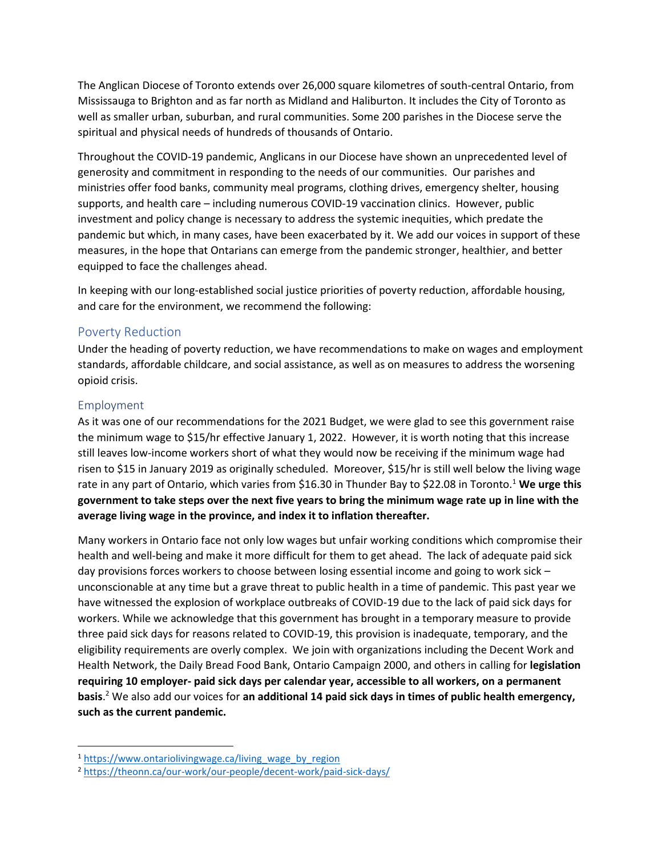The Anglican Diocese of Toronto extends over 26,000 square kilometres of south-central Ontario, from Mississauga to Brighton and as far north as Midland and Haliburton. It includes the City of Toronto as well as smaller urban, suburban, and rural communities. Some 200 parishes in the Diocese serve the spiritual and physical needs of hundreds of thousands of Ontario.

Throughout the COVID-19 pandemic, Anglicans in our Diocese have shown an unprecedented level of generosity and commitment in responding to the needs of our communities. Our parishes and ministries offer food banks, community meal programs, clothing drives, emergency shelter, housing supports, and health care – including numerous COVID-19 vaccination clinics. However, public investment and policy change is necessary to address the systemic inequities, which predate the pandemic but which, in many cases, have been exacerbated by it. We add our voices in support of these measures, in the hope that Ontarians can emerge from the pandemic stronger, healthier, and better equipped to face the challenges ahead.

In keeping with our long-established social justice priorities of poverty reduction, affordable housing, and care for the environment, we recommend the following:

## Poverty Reduction

Under the heading of poverty reduction, we have recommendations to make on wages and employment standards, affordable childcare, and social assistance, as well as on measures to address the worsening opioid crisis.

## Employment

As it was one of our recommendations for the 2021 Budget, we were glad to see this government raise the minimum wage to \$15/hr effective January 1, 2022. However, it is worth noting that this increase still leaves low-income workers short of what they would now be receiving if the minimum wage had risen to \$15 in January 2019 as originally scheduled. Moreover, \$15/hr is still well below the living wage rate in any part of Ontario, which varies from \$16.30 in Thunder Bay to \$22.08 in Toronto.<sup>1</sup> **We urge this government to take steps over the next five years to bring the minimum wage rate up in line with the average living wage in the province, and index it to inflation thereafter.** 

Many workers in Ontario face not only low wages but unfair working conditions which compromise their health and well-being and make it more difficult for them to get ahead. The lack of adequate paid sick day provisions forces workers to choose between losing essential income and going to work sick – unconscionable at any time but a grave threat to public health in a time of pandemic. This past year we have witnessed the explosion of workplace outbreaks of COVID-19 due to the lack of paid sick days for workers. While we acknowledge that this government has brought in a temporary measure to provide three paid sick days for reasons related to COVID-19, this provision is inadequate, temporary, and the eligibility requirements are overly complex. We join with organizations including the Decent Work and Health Network, the Daily Bread Food Bank, Ontario Campaign 2000, and others in calling for **legislation requiring 10 employer- paid sick days per calendar year, accessible to all workers, on a permanent basis**. <sup>2</sup> We also add our voices for **an additional 14 paid sick days in times of public health emergency, such as the current pandemic.** 

<sup>&</sup>lt;sup>1</sup> [https://www.ontariolivingwage.ca/living\\_wage\\_by\\_region](https://www.ontariolivingwage.ca/living_wage_by_region)

<sup>2</sup> <https://theonn.ca/our-work/our-people/decent-work/paid-sick-days/>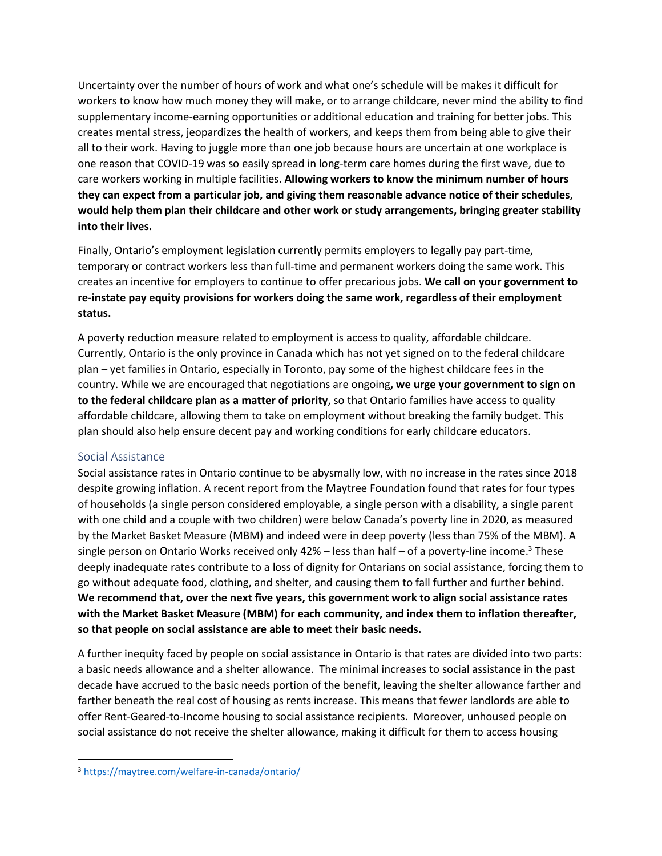Uncertainty over the number of hours of work and what one's schedule will be makes it difficult for workers to know how much money they will make, or to arrange childcare, never mind the ability to find supplementary income-earning opportunities or additional education and training for better jobs. This creates mental stress, jeopardizes the health of workers, and keeps them from being able to give their all to their work. Having to juggle more than one job because hours are uncertain at one workplace is one reason that COVID-19 was so easily spread in long-term care homes during the first wave, due to care workers working in multiple facilities. **Allowing workers to know the minimum number of hours they can expect from a particular job, and giving them reasonable advance notice of their schedules, would help them plan their childcare and other work or study arrangements, bringing greater stability into their lives.**

Finally, Ontario's employment legislation currently permits employers to legally pay part-time, temporary or contract workers less than full-time and permanent workers doing the same work. This creates an incentive for employers to continue to offer precarious jobs. **We call on your government to re-instate pay equity provisions for workers doing the same work, regardless of their employment status.** 

A poverty reduction measure related to employment is access to quality, affordable childcare. Currently, Ontario is the only province in Canada which has not yet signed on to the federal childcare plan – yet families in Ontario, especially in Toronto, pay some of the highest childcare fees in the country. While we are encouraged that negotiations are ongoing**, we urge your government to sign on to the federal childcare plan as a matter of priority**, so that Ontario families have access to quality affordable childcare, allowing them to take on employment without breaking the family budget. This plan should also help ensure decent pay and working conditions for early childcare educators.

## Social Assistance

Social assistance rates in Ontario continue to be abysmally low, with no increase in the rates since 2018 despite growing inflation. A recent report from the Maytree Foundation found that rates for four types of households (a single person considered employable, a single person with a disability, a single parent with one child and a couple with two children) were below Canada's poverty line in 2020, as measured by the Market Basket Measure (MBM) and indeed were in deep poverty (less than 75% of the MBM). A single person on Ontario Works received only  $42\%$  – less than half – of a poverty-line income.<sup>3</sup> These deeply inadequate rates contribute to a loss of dignity for Ontarians on social assistance, forcing them to go without adequate food, clothing, and shelter, and causing them to fall further and further behind. **We recommend that, over the next five years, this government work to align social assistance rates with the Market Basket Measure (MBM) for each community, and index them to inflation thereafter, so that people on social assistance are able to meet their basic needs.**

A further inequity faced by people on social assistance in Ontario is that rates are divided into two parts: a basic needs allowance and a shelter allowance. The minimal increases to social assistance in the past decade have accrued to the basic needs portion of the benefit, leaving the shelter allowance farther and farther beneath the real cost of housing as rents increase. This means that fewer landlords are able to offer Rent-Geared-to-Income housing to social assistance recipients. Moreover, unhoused people on social assistance do not receive the shelter allowance, making it difficult for them to access housing

<sup>3</sup> <https://maytree.com/welfare-in-canada/ontario/>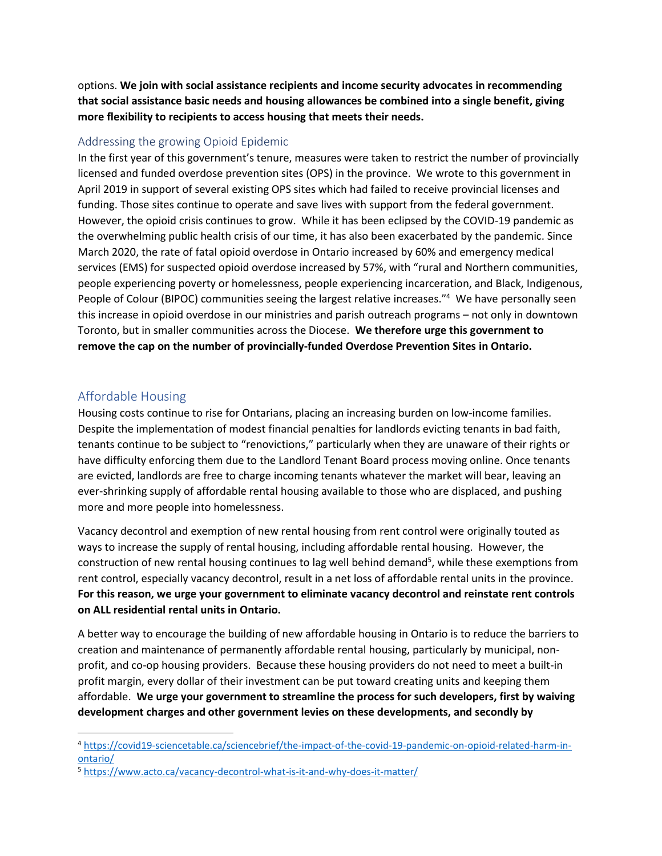options. **We join with social assistance recipients and income security advocates in recommending that social assistance basic needs and housing allowances be combined into a single benefit, giving more flexibility to recipients to access housing that meets their needs.**

## Addressing the growing Opioid Epidemic

In the first year of this government's tenure, measures were taken to restrict the number of provincially licensed and funded overdose prevention sites (OPS) in the province. We wrote to this government in April 2019 in support of several existing OPS sites which had failed to receive provincial licenses and funding. Those sites continue to operate and save lives with support from the federal government. However, the opioid crisis continues to grow. While it has been eclipsed by the COVID-19 pandemic as the overwhelming public health crisis of our time, it has also been exacerbated by the pandemic. Since March 2020, the rate of fatal opioid overdose in Ontario increased by 60% and emergency medical services (EMS) for suspected opioid overdose increased by 57%, with "rural and Northern communities, people experiencing poverty or homelessness, people experiencing incarceration, and Black, Indigenous, People of Colour (BIPOC) communities seeing the largest relative increases."<sup>4</sup> We have personally seen this increase in opioid overdose in our ministries and parish outreach programs – not only in downtown Toronto, but in smaller communities across the Diocese. **We therefore urge this government to remove the cap on the number of provincially-funded Overdose Prevention Sites in Ontario.** 

# Affordable Housing

Housing costs continue to rise for Ontarians, placing an increasing burden on low-income families. Despite the implementation of modest financial penalties for landlords evicting tenants in bad faith, tenants continue to be subject to "renovictions," particularly when they are unaware of their rights or have difficulty enforcing them due to the Landlord Tenant Board process moving online. Once tenants are evicted, landlords are free to charge incoming tenants whatever the market will bear, leaving an ever-shrinking supply of affordable rental housing available to those who are displaced, and pushing more and more people into homelessness.

Vacancy decontrol and exemption of new rental housing from rent control were originally touted as ways to increase the supply of rental housing, including affordable rental housing. However, the construction of new rental housing continues to lag well behind demand<sup>5</sup>, while these exemptions from rent control, especially vacancy decontrol, result in a net loss of affordable rental units in the province. **For this reason, we urge your government to eliminate vacancy decontrol and reinstate rent controls on ALL residential rental units in Ontario.**

A better way to encourage the building of new affordable housing in Ontario is to reduce the barriers to creation and maintenance of permanently affordable rental housing, particularly by municipal, nonprofit, and co-op housing providers. Because these housing providers do not need to meet a built-in profit margin, every dollar of their investment can be put toward creating units and keeping them affordable. **We urge your government to streamline the process for such developers, first by waiving development charges and other government levies on these developments, and secondly by** 

<sup>4</sup> [https://covid19-sciencetable.ca/sciencebrief/the-impact-of-the-covid-19-pandemic-on-opioid-related-harm-in](https://covid19-sciencetable.ca/sciencebrief/the-impact-of-the-covid-19-pandemic-on-opioid-related-harm-in-ontario/)[ontario/](https://covid19-sciencetable.ca/sciencebrief/the-impact-of-the-covid-19-pandemic-on-opioid-related-harm-in-ontario/)

<sup>5</sup> <https://www.acto.ca/vacancy-decontrol-what-is-it-and-why-does-it-matter/>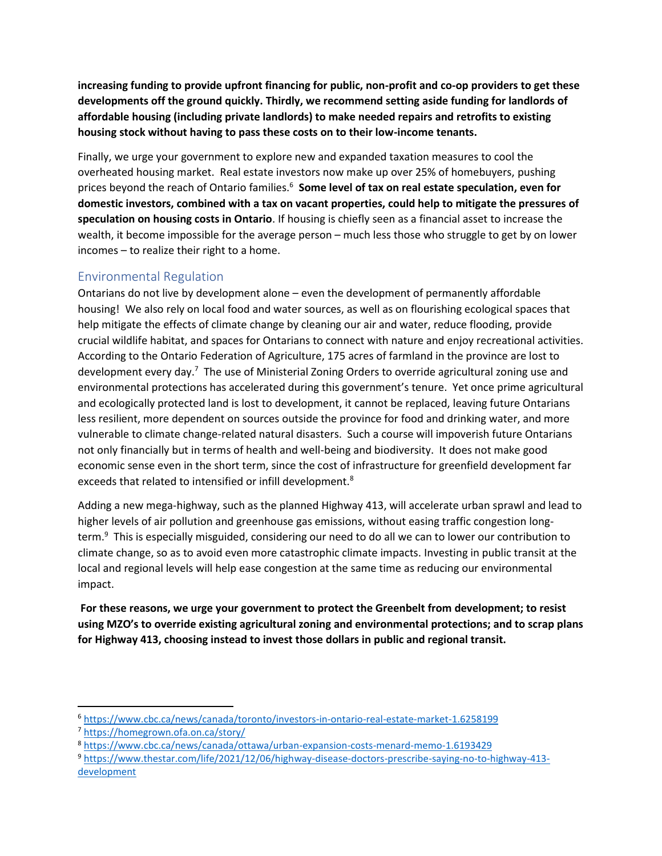**increasing funding to provide upfront financing for public, non-profit and co-op providers to get these developments off the ground quickly. Thirdly, we recommend setting aside funding for landlords of affordable housing (including private landlords) to make needed repairs and retrofits to existing housing stock without having to pass these costs on to their low-income tenants.**

Finally, we urge your government to explore new and expanded taxation measures to cool the overheated housing market. Real estate investors now make up over 25% of homebuyers, pushing prices beyond the reach of Ontario families.<sup>6</sup> **Some level of tax on real estate speculation, even for domestic investors, combined with a tax on vacant properties, could help to mitigate the pressures of speculation on housing costs in Ontario**. If housing is chiefly seen as a financial asset to increase the wealth, it become impossible for the average person – much less those who struggle to get by on lower incomes – to realize their right to a home.

# Environmental Regulation

Ontarians do not live by development alone – even the development of permanently affordable housing! We also rely on local food and water sources, as well as on flourishing ecological spaces that help mitigate the effects of climate change by cleaning our air and water, reduce flooding, provide crucial wildlife habitat, and spaces for Ontarians to connect with nature and enjoy recreational activities. According to the Ontario Federation of Agriculture, 175 acres of farmland in the province are lost to development every day.<sup>7</sup> The use of Ministerial Zoning Orders to override agricultural zoning use and environmental protections has accelerated during this government's tenure. Yet once prime agricultural and ecologically protected land is lost to development, it cannot be replaced, leaving future Ontarians less resilient, more dependent on sources outside the province for food and drinking water, and more vulnerable to climate change-related natural disasters. Such a course will impoverish future Ontarians not only financially but in terms of health and well-being and biodiversity. It does not make good economic sense even in the short term, since the cost of infrastructure for greenfield development far exceeds that related to intensified or infill development.<sup>8</sup>

Adding a new mega-highway, such as the planned Highway 413, will accelerate urban sprawl and lead to higher levels of air pollution and greenhouse gas emissions, without easing traffic congestion longterm.<sup>9</sup> This is especially misguided, considering our need to do all we can to lower our contribution to climate change, so as to avoid even more catastrophic climate impacts. Investing in public transit at the local and regional levels will help ease congestion at the same time as reducing our environmental impact.

**For these reasons, we urge your government to protect the Greenbelt from development; to resist using MZO's to override existing agricultural zoning and environmental protections; and to scrap plans for Highway 413, choosing instead to invest those dollars in public and regional transit.** 

<sup>6</sup> <https://www.cbc.ca/news/canada/toronto/investors-in-ontario-real-estate-market-1.6258199>

<sup>7</sup> <https://homegrown.ofa.on.ca/story/>

<sup>8</sup> <https://www.cbc.ca/news/canada/ottawa/urban-expansion-costs-menard-memo-1.6193429>

<sup>9</sup> [https://www.thestar.com/life/2021/12/06/highway-disease-doctors-prescribe-saying-no-to-highway-413](https://www.thestar.com/life/2021/12/06/highway-disease-doctors-prescribe-saying-no-to-highway-413-development) [development](https://www.thestar.com/life/2021/12/06/highway-disease-doctors-prescribe-saying-no-to-highway-413-development)